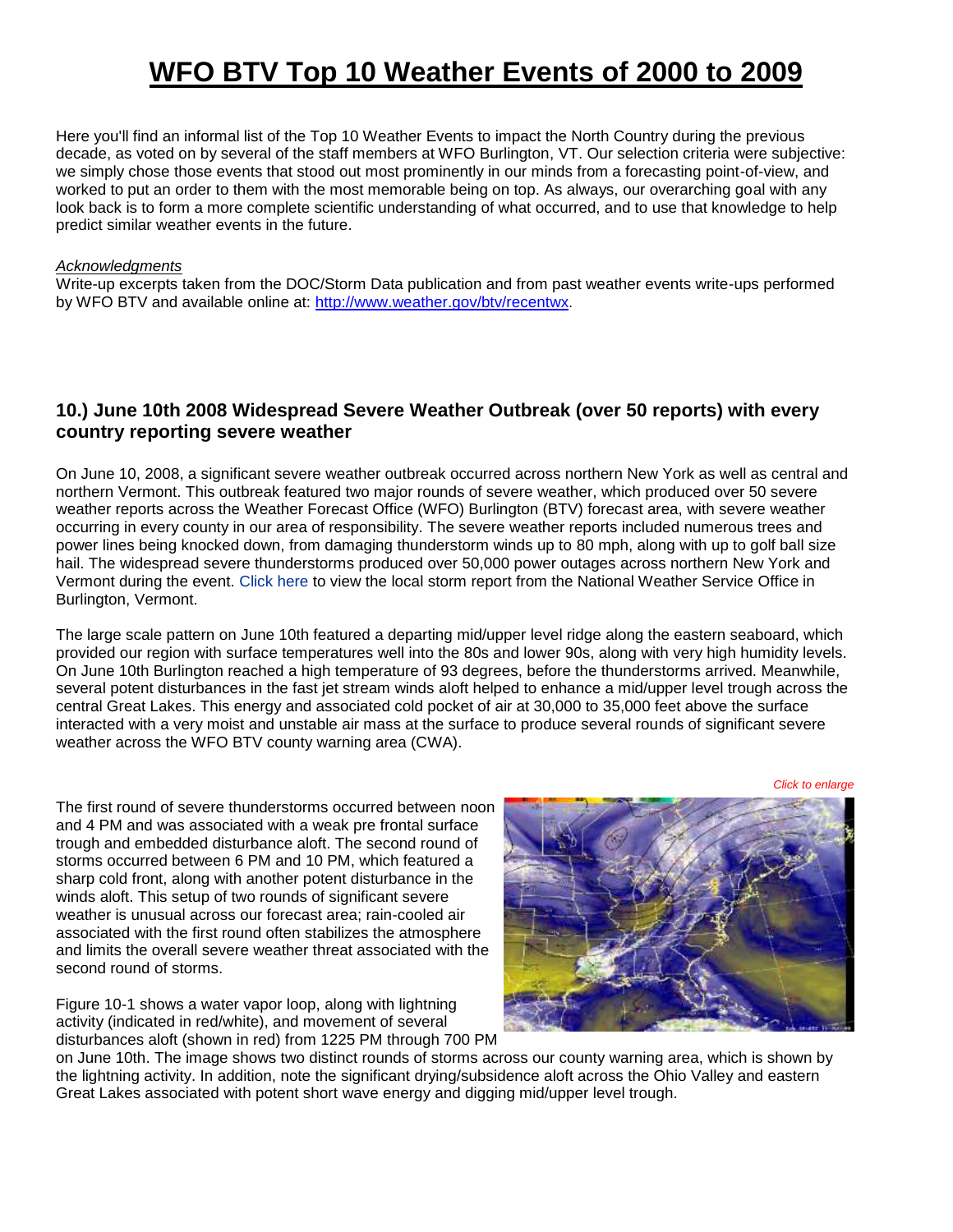# **WFO BTV Top 10 Weather Events of 2000 to 2009**

Here you'll find an informal list of the Top 10 Weather Events to impact the North Country during the previous decade, as voted on by several of the staff members at WFO Burlington, VT. Our selection criteria were subjective: we simply chose those events that stood out most prominently in our minds from a forecasting point-of-view, and worked to put an order to them with the most memorable being on top. As always, our overarching goal with any look back is to form a more complete scientific understanding of what occurred, and to use that knowledge to help predict similar weather events in the future.

#### *Acknowledgments*

Write-up excerpts taken from the DOC/Storm Data publication and from past weather events write-ups performed by WFO BTV and available online at: <http://www.weather.gov/btv/recentwx>.

#### **10.) June 10th 2008 Widespread Severe Weather Outbreak (over 50 reports) with every country reporting severe weather**

On June 10, 2008, a significant severe weather outbreak occurred across northern New York as well as central and northern Vermont. This outbreak featured two major rounds of severe weather, which produced over 50 severe weather reports across the Weather Forecast Office (WFO) Burlington (BTV) forecast area, with severe weather occurring in every county in our area of responsibility. The severe weather reports included numerous trees and power lines being knocked down, from damaging thunderstorm winds up to 80 mph, along with up to golf ball size hail. The widespread severe thunderstorms produced over 50,000 power outages across northern New York and Vermont during the event. [Click here](http://www.weather.gov/media/btv/events/TopTen2000/LSR061008.pdf) to view the local storm report from the National Weather Service Office in Burlington, Vermont.

The large scale pattern on June 10th featured a departing mid/upper level ridge along the eastern seaboard, which provided our region with surface temperatures well into the 80s and lower 90s, along with very high humidity levels. On June 10th Burlington reached a high temperature of 93 degrees, before the thunderstorms arrived. Meanwhile, several potent disturbances in the fast jet stream winds aloft helped to enhance a mid/upper level trough across the central Great Lakes. This energy and associated cold pocket of air at 30,000 to 35,000 feet above the surface interacted with a very moist and unstable air mass at the surface to produce several rounds of significant severe weather across the WFO BTV county warning area (CWA).

*Click to enlarge*

The first round of severe thunderstorms occurred between noon and 4 PM and was associated with a weak pre frontal surface trough and embedded disturbance aloft. The second round of storms occurred between 6 PM and 10 PM, which featured a sharp cold front, along with another potent disturbance in the winds aloft. This setup of two rounds of significant severe weather is unusual across our forecast area; rain-cooled air associated with the first round often stabilizes the atmosphere and limits the overall severe weather threat associated with the second round of storms.

Figure 10-1 shows a water vapor loop, along with lightning activity (indicated in red/white), and movement of several disturbances aloft (shown in red) from 1225 PM through 700 PM



on June 10th. The image shows two distinct rounds of storms across our county warning area, which is shown by the lightning activity. In addition, note the significant drying/subsidence aloft across the Ohio Valley and eastern Great Lakes associated with potent short wave energy and digging mid/upper level trough.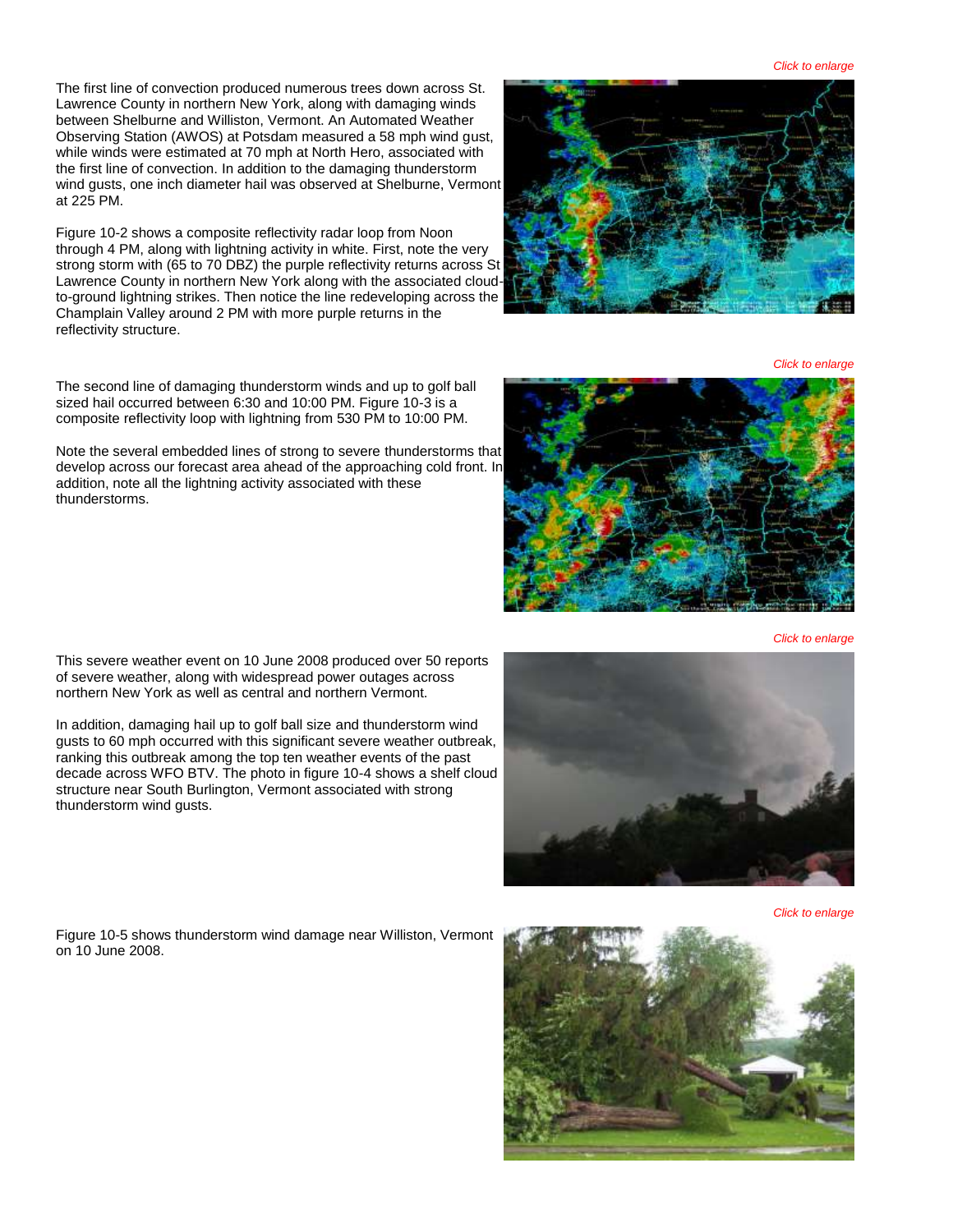*Click to enlarge*

The first line of convection produced numerous trees down across St. Lawrence County in northern New York, along with damaging winds between Shelburne and Williston, Vermont. An Automated Weather Observing Station (AWOS) at Potsdam measured a 58 mph wind gust, while winds were estimated at 70 mph at North Hero, associated with the first line of convection. In addition to the damaging thunderstorm wind gusts, one inch diameter hail was observed at Shelburne, Vermont at 225 PM.

Figure 10-2 shows a composite reflectivity radar loop from Noon through 4 PM, along with lightning activity in white. First, note the very strong storm with (65 to 70 DBZ) the purple reflectivity returns across St Lawrence County in northern New York along with the associated cloudto-ground lightning strikes. Then notice the line redeveloping across the Champlain Valley around 2 PM with more purple returns in the reflectivity structure.



*Click to enlarge*

The second line of damaging thunderstorm winds and up to golf ball sized hail occurred between 6:30 and 10:00 PM. Figure 10-3 is a composite reflectivity loop with lightning from 530 PM to 10:00 PM. Note the several embedded lines of strong to severe thunderstorms that developacross our forecast area ahead of the approaching cold front. In

*Click to enlarge*

This severe weather event on 10 June 2008 produced over 50 reports of severe weather, along with widespread power outages across northern New York as well as central and northern Vermont.

addition, note all the lightning activity associated with these

thunderstorms.

In addition, damaging hail up to golf ball size and thunderstorm wind gusts to 60 mph occurred with this significant severe weather outbreak, ranking this outbreak among the top ten weather events of the past decade across WFO BTV. The photo in figure 10-4 shows a shelf cloud structure near South Burlington, Vermont associated with strong thunderstorm wind gusts.

Figure 10-5 shows thunderstorm wind damage near Williston, Vermont on 10 June 2008.



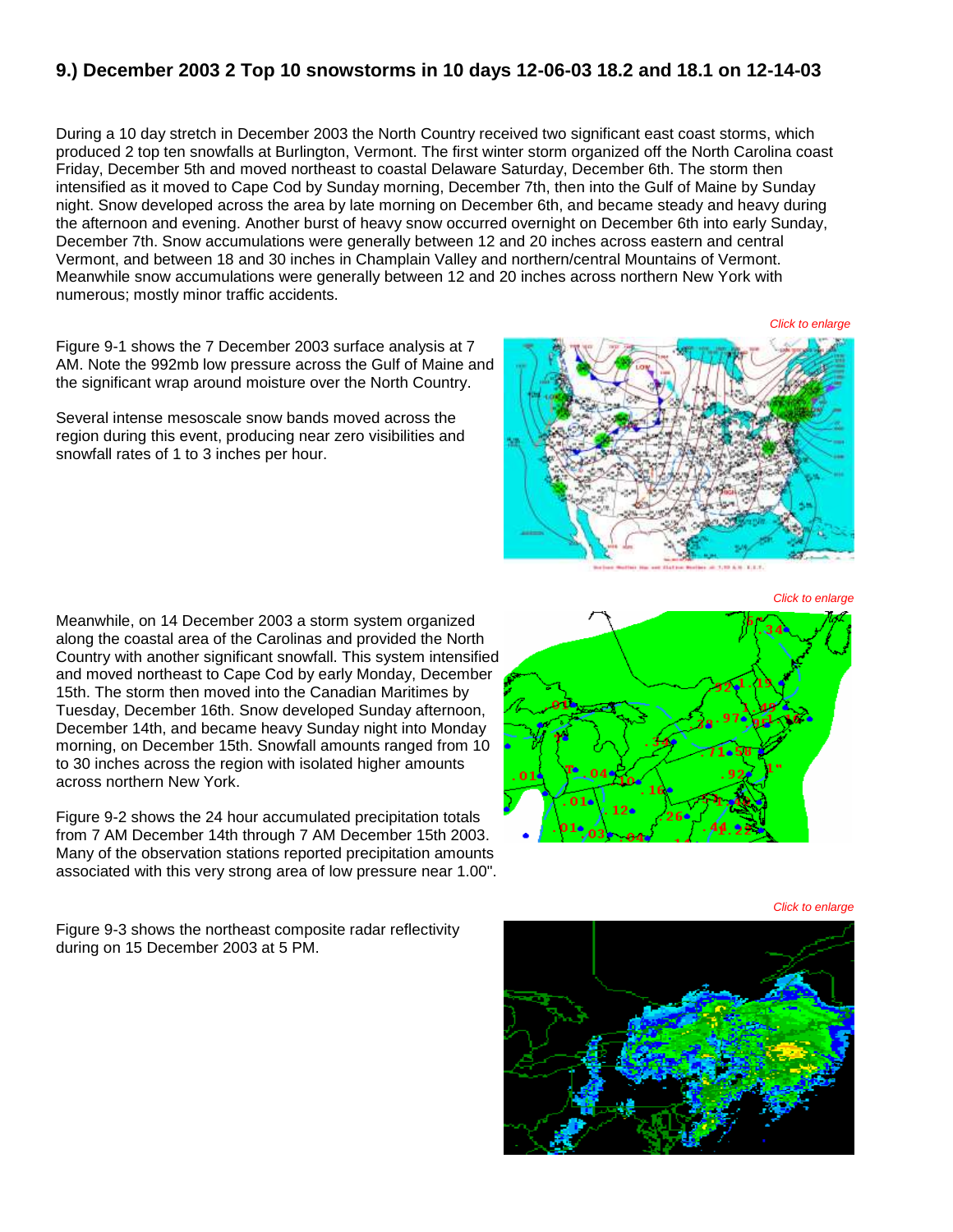#### **9.) December 2003 2 Top 10 snowstorms in 10 days 12-06-03 18.2 and 18.1 on 12-14-03**

During a 10 day stretch in December 2003 the North Country received two significant east coast storms, which produced 2 top ten snowfalls at Burlington, Vermont. The first winter storm organized off the North Carolina coast Friday, December 5th and moved northeast to coastal Delaware Saturday, December 6th. The storm then intensified as it moved to Cape Cod by Sunday morning, December 7th, then into the Gulf of Maine by Sunday night. Snow developed across the area by late morning on December 6th, and became steady and heavy during the afternoon and evening. Another burst of heavy snow occurred overnight on December 6th into early Sunday, December 7th. Snow accumulations were generally between 12 and 20 inches across eastern and central Vermont, and between 18 and 30 inches in Champlain Valley and northern/central Mountains of Vermont. Meanwhile snow accumulations were generally between 12 and 20 inches across northern New York with numerous; mostly minor traffic accidents.

Figure 9-1 shows the 7 December 2003 surface analysis at 7 AM. Note the 992mb low pressure across the Gulf of Maine and the significant wrap around moisture over the North Country.

Several intense mesoscale snow bands moved across the region during this event, producing near zero visibilities and snowfall rates of 1 to 3 inches per hour.

*Click to enlarge*

*Click to enlarge*

*Click to enlarge*

Meanwhile, on 14 December 2003 a storm system organized along the coastal area of the Carolinas and provided the North Country with another significant snowfall. This system intensified and moved northeast to Cape Cod by early Monday, December 15th. The storm then moved into the Canadian Maritimes by Tuesday, December 16th. Snow developed Sunday afternoon, December 14th, and became heavy Sunday night into Monday morning, on December 15th. Snowfall amounts ranged from 10 to 30 inches across the region with isolated higher amounts across northern New York.

Figure 9-2 shows the 24 hour accumulated precipitation totals from 7 AM December 14th through 7 AM December 15th 2003. Many of the observation stations reported precipitation amounts associated with this very strong area of low pressure near 1.00".

Figure 9-3 shows the northeast composite radar reflectivity during on 15 December 2003 at 5 PM.



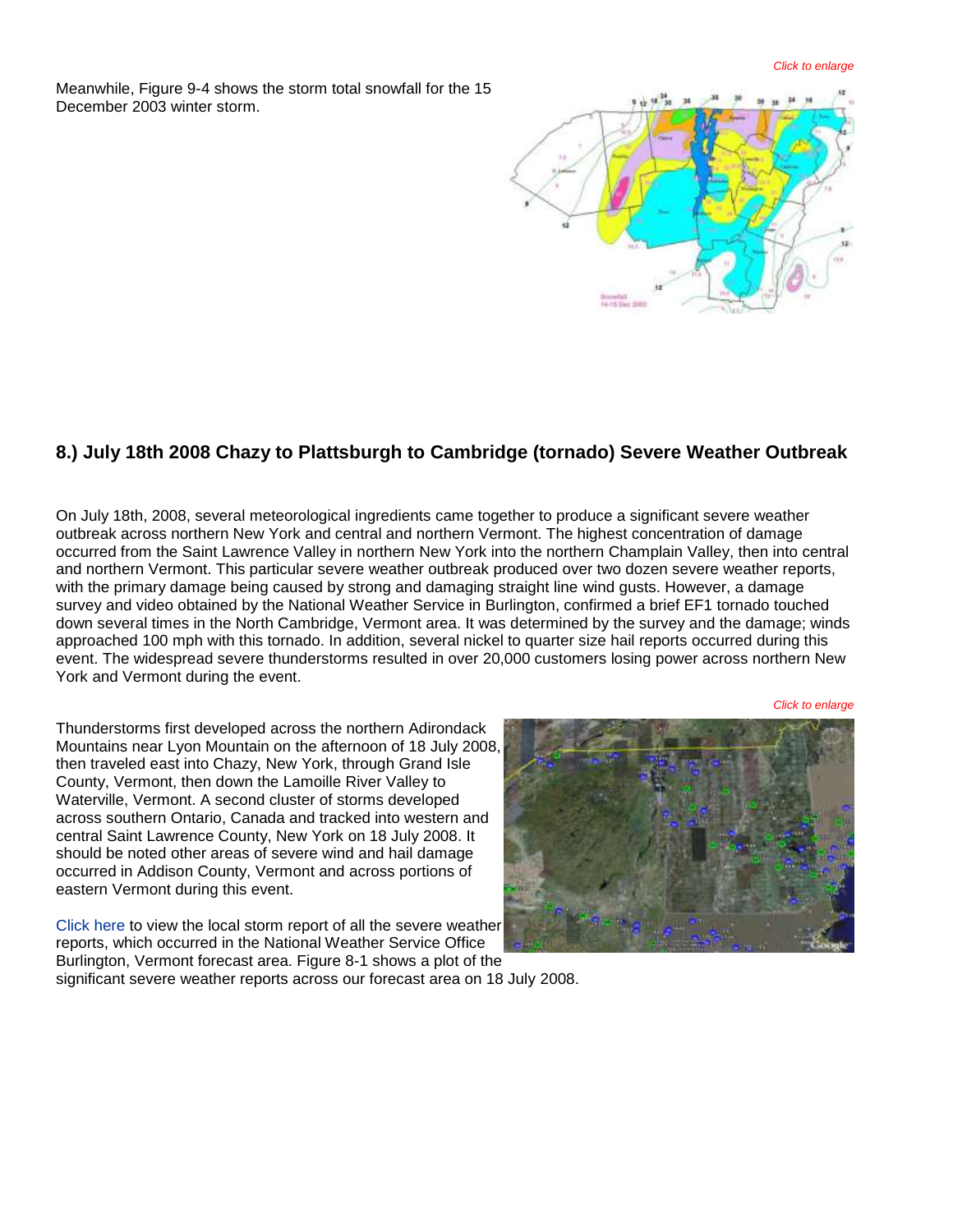Meanwhile, Figure 9-4 shows the storm total snowfall for the 15 December 2003 winter storm.



#### **8.) July 18th 2008 Chazy to Plattsburgh to Cambridge (tornado) Severe Weather Outbreak**

On July 18th, 2008, several meteorological ingredients came together to produce a significant severe weather outbreak across northern New York and central and northern Vermont. The highest concentration of damage occurred from the Saint Lawrence Valley in northern New York into the northern Champlain Valley, then into central and northern Vermont. This particular severe weather outbreak produced over two dozen severe weather reports, with the primary damage being caused by strong and damaging straight line wind gusts. However, a damage survey and video obtained by the National Weather Service in Burlington, confirmed a brief EF1 tornado touched down several times in the North Cambridge, Vermont area. It was determined by the survey and the damage; winds approached 100 mph with this tornado. In addition, several nickel to quarter size hail reports occurred during this event. The widespread severe thunderstorms resulted in over 20,000 customers losing power across northern New York and Vermont during the event.

*Click to enlarge*

Thunderstorms first developed across the northern Adirondack Mountains near Lyon Mountain on the afternoon of 18 July 2008, then traveled east into Chazy, New York, through Grand Isle County, Vermont, then down the Lamoille River Valley to Waterville, Vermont. A second cluster of storms developed across southern Ontario, Canada and tracked into western and central Saint Lawrence County, New York on 18 July 2008. It should be noted other areas of severe wind and hail damage occurred in Addison County, Vermont and across portions of eastern Vermont during this event.

[Click here](http://www.weather.gov/media/btv/events/TopTen2000/LSR071808.pdf) to view the local storm report of all the severe weather reports, which occurred in the National Weather Service Office Burlington, Vermont forecast area. Figure 8-1 shows a plot of the



significant severe weather reports across our forecast area on 18 July 2008.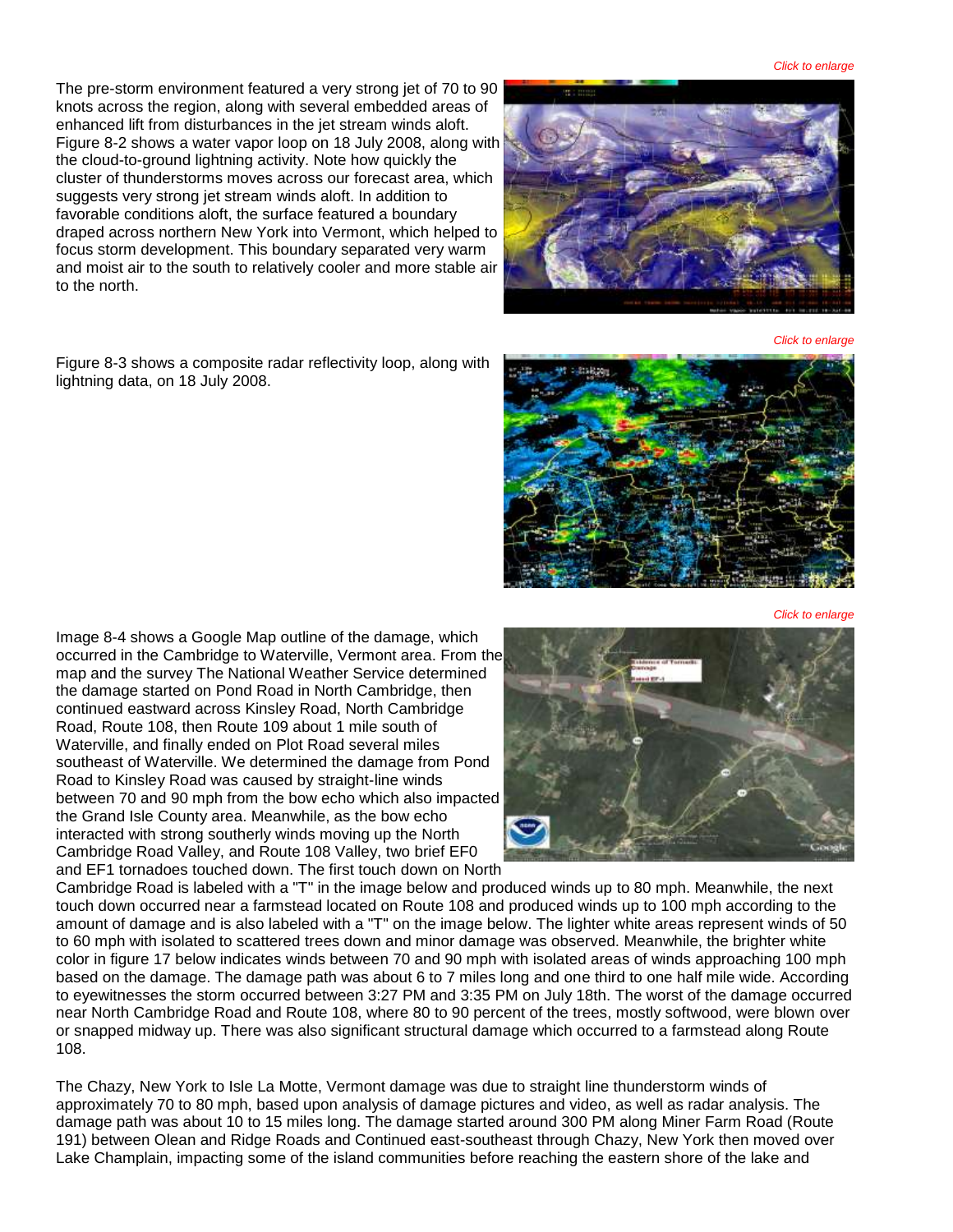The pre-storm environment featured a very strong jet of 70 to 90 knots across the region, along with several embedded areas of enhanced lift from disturbances in the jet stream winds aloft. Figure 8-2 shows a water vapor loop on 18 July 2008, along with the cloud-to-ground lightning activity. Note how quickly the cluster of thunderstorms moves across our forecast area, which suggests very strong jet stream winds aloft. In addition to favorable conditions aloft, the surface featured a boundary draped across northern New York into Vermont, which helped to focus storm development. This boundary separated very warm and moist air to the south to relatively cooler and more stable air to the north.

Figure 8-3 shows a composite radar reflectivity loop, along with lightning data, on 18 July 2008.

Image 8-4 shows a Google Map outline of the damage, which occurred in the Cambridge to Waterville, Vermont area. From the map and the survey The National Weather Service determined the damage started on Pond Road in North Cambridge, then continued eastward across Kinsley Road, North Cambridge Road, Route 108, then Route 109 about 1 mile south of Waterville, and finally ended on Plot Road several miles southeast of Waterville. We determined the damage from Pond Road to Kinsley Road was caused by straight-line winds between 70 and 90 mph from the bow echo which also impacted the Grand Isle County area. Meanwhile, as the bow echo interacted with strong southerly winds moving up the North Cambridge Road Valley, and Route 108 Valley, two brief EF0 and EF1 tornadoes touched down. The first touch down on North

Cambridge Road is labeled with a "T" in the image below and produced winds up to 80 mph. Meanwhile, the next touch down occurred near a farmstead located on Route 108 and produced winds up to 100 mph according to the amount of damage and is also labeled with a "T" on the image below. The lighter white areas represent winds of 50 to 60 mph with isolated to scattered trees down and minor damage was observed. Meanwhile, the brighter white color in figure 17 below indicates winds between 70 and 90 mph with isolated areas of winds approaching 100 mph based on the damage. The damage path was about 6 to 7 miles long and one third to one half mile wide. According to eyewitnesses the storm occurred between 3:27 PM and 3:35 PM on July 18th. The worst of the damage occurred near North Cambridge Road and Route 108, where 80 to 90 percent of the trees, mostly softwood, were blown over or snapped midway up. There was also significant structural damage which occurred to a farmstead along Route 108.

The Chazy, New York to Isle La Motte, Vermont damage was due to straight line thunderstorm winds of approximately 70 to 80 mph, based upon analysis of damage pictures and video, as well as radar analysis. The damage path was about 10 to 15 miles long. The damage started around 300 PM along Miner Farm Road (Route 191) between Olean and Ridge Roads and Continued east-southeast through Chazy, New York then moved over Lake Champlain, impacting some of the island communities before reaching the eastern shore of the lake and





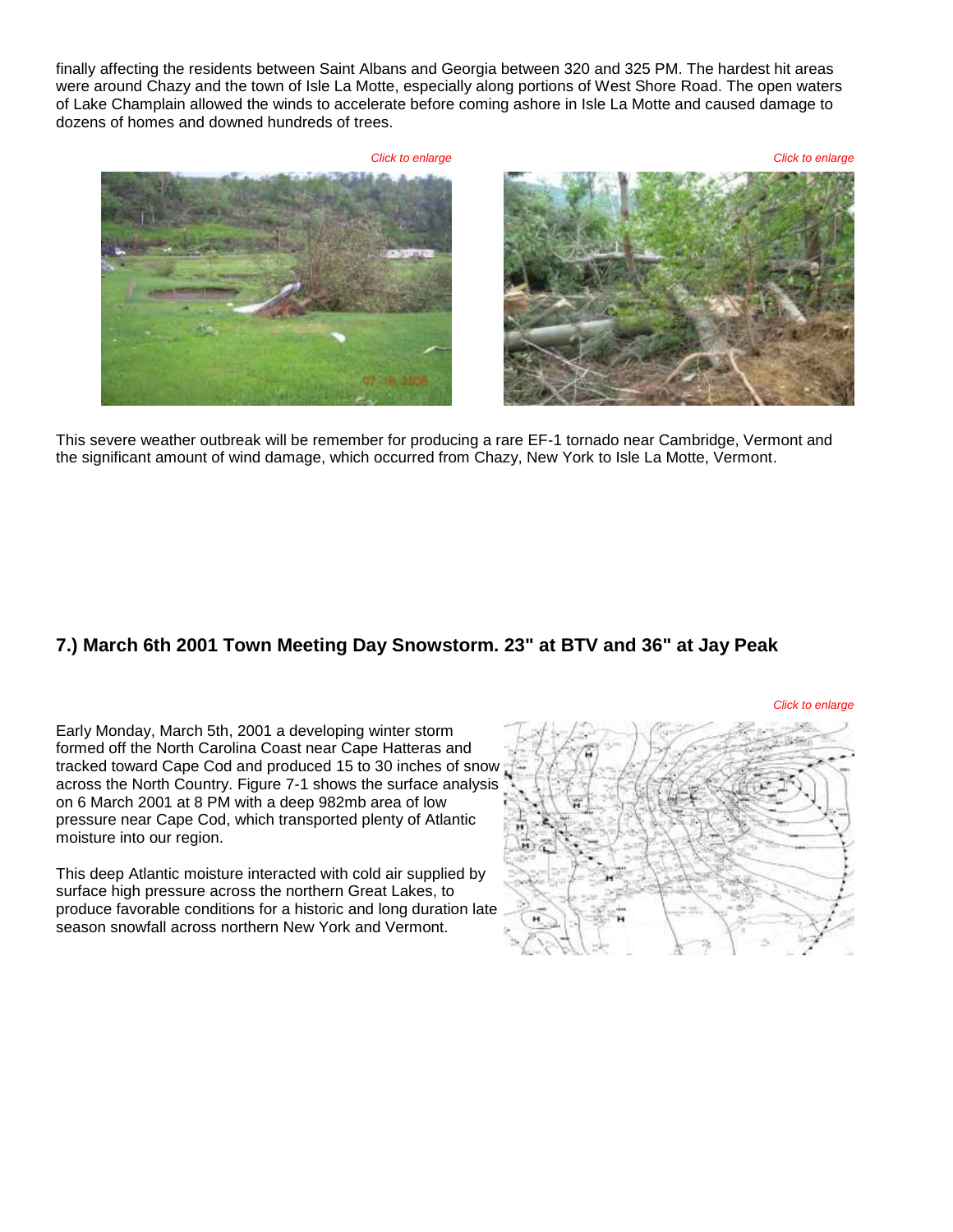finally affecting the residents between Saint Albans and Georgia between 320 and 325 PM. The hardest hit areas were around Chazy and the town of Isle La Motte, especially along portions of West Shore Road. The open waters of Lake Champlain allowed the winds to accelerate before coming ashore in Isle La Motte and caused damage to dozens of homes and downed hundreds of trees.

*Click to enlarge Click to enlarge*

This severe weather outbreak will be remember for producing a rare EF-1 tornado near Cambridge, Vermont and the significant amount of wind damage, which occurred from Chazy, New York to Isle La Motte, Vermont.

## **7.) March 6th 2001 Town Meeting Day Snowstorm. 23" at BTV and 36" at Jay Peak**

Early Monday, March 5th, 2001 a developing winter storm formed off the North Carolina Coast near Cape Hatteras and tracked toward Cape Cod and produced 15 to 30 inches of snow across the North Country. Figure 7-1 shows the surface analysis on 6 March 2001 at 8 PM with a deep 982mb area of low pressure near Cape Cod, which transported plenty of Atlantic moisture into our region.

This deep Atlantic moisture interacted with cold air supplied by surface high pressure across the northern Great Lakes, to produce favorable conditions for a historic and long duration late season snowfall across northern New York and Vermont.

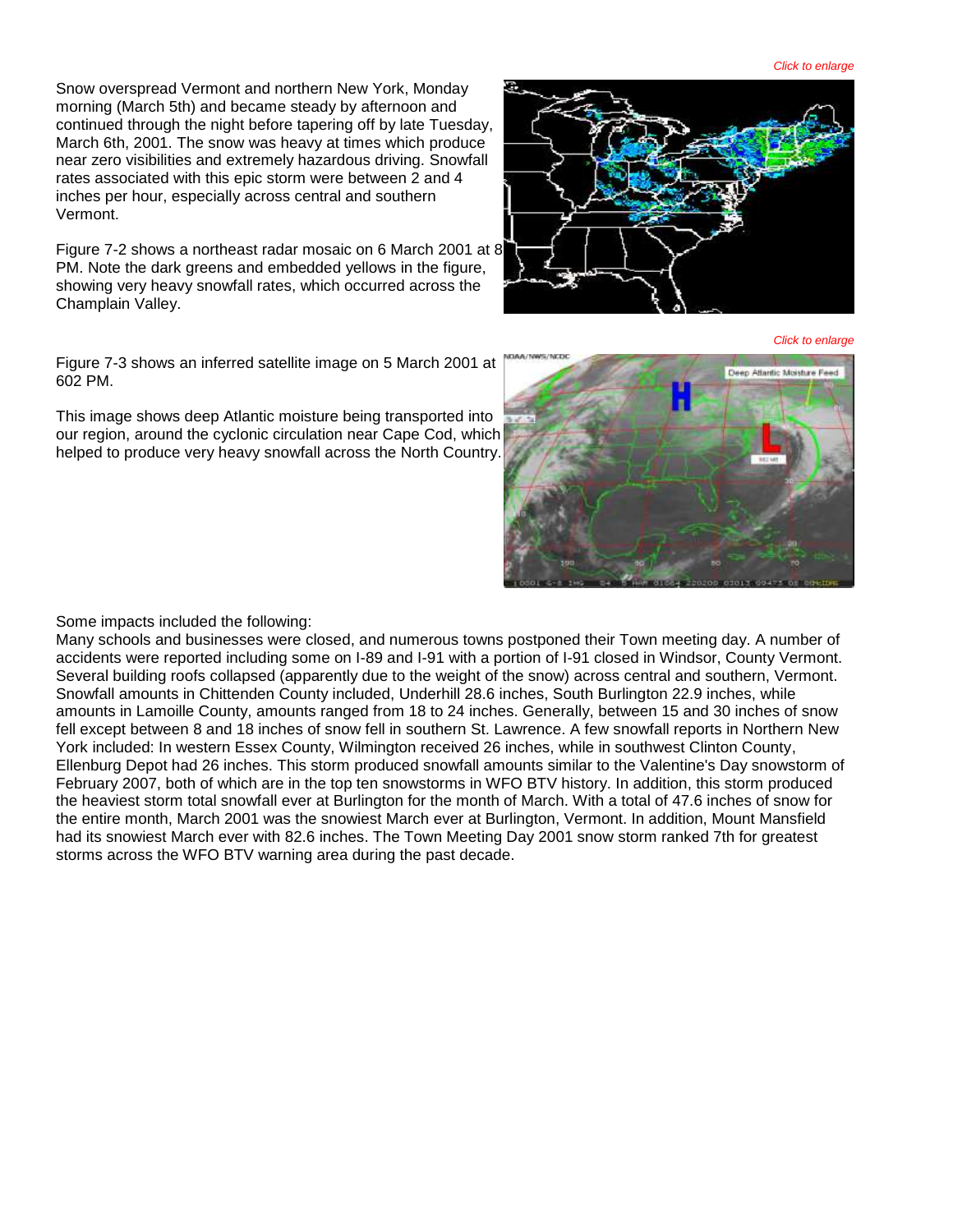*Click to enlarge*

Snow overspread Vermont and northern New York, Monday morning (March 5th) and became steady by afternoon and continued through the night before tapering off by late Tuesday, March 6th, 2001. The snow was heavy at times which produce near zero visibilities and extremely hazardous driving. Snowfall rates associated with this epic storm were between 2 and 4 inches per hour, especially across central and southern Vermont.

Figure 7-2 shows a northeast radar mosaic on 6 March 2001 at 8 PM. Note the dark greens and embedded yellows in the figure, showing very heavy snowfall rates, which occurred across the Champlain Valley.

Figure 7-3 shows an inferred satellite image on 5 March 2001 at 602 PM.

This image shows deep Atlantic moisture being transported into our region, around the cyclonic circulation near Cape Cod, which helped to produce very heavy snowfall across the North Country.

Some impacts included the following:

Many schools and businesses were closed, and numerous towns postponed their Town meeting day. A number of accidents were reported including some on I-89 and I-91 with a portion of I-91 closed in Windsor, County Vermont. Several building roofs collapsed (apparently due to the weight of the snow) across central and southern, Vermont. Snowfall amounts in Chittenden County included, Underhill 28.6 inches, South Burlington 22.9 inches, while amounts in Lamoille County, amounts ranged from 18 to 24 inches. Generally, between 15 and 30 inches of snow fell except between 8 and 18 inches of snow fell in southern St. Lawrence. A few snowfall reports in Northern New York included: In western Essex County, Wilmington received 26 inches, while in southwest Clinton County, Ellenburg Depot had 26 inches. This storm produced snowfall amounts similar to the Valentine's Day snowstorm of February 2007, both of which are in the top ten snowstorms in WFO BTV history. In addition, this storm produced the heaviest storm total snowfall ever at Burlington for the month of March. With a total of 47.6 inches of snow for the entire month, March 2001 was the snowiest March ever at Burlington, Vermont. In addition, Mount Mansfield had its snowiest March ever with 82.6 inches. The Town Meeting Day 2001 snow storm ranked 7th for greatest storms across the WFO BTV warning area during the past decade.

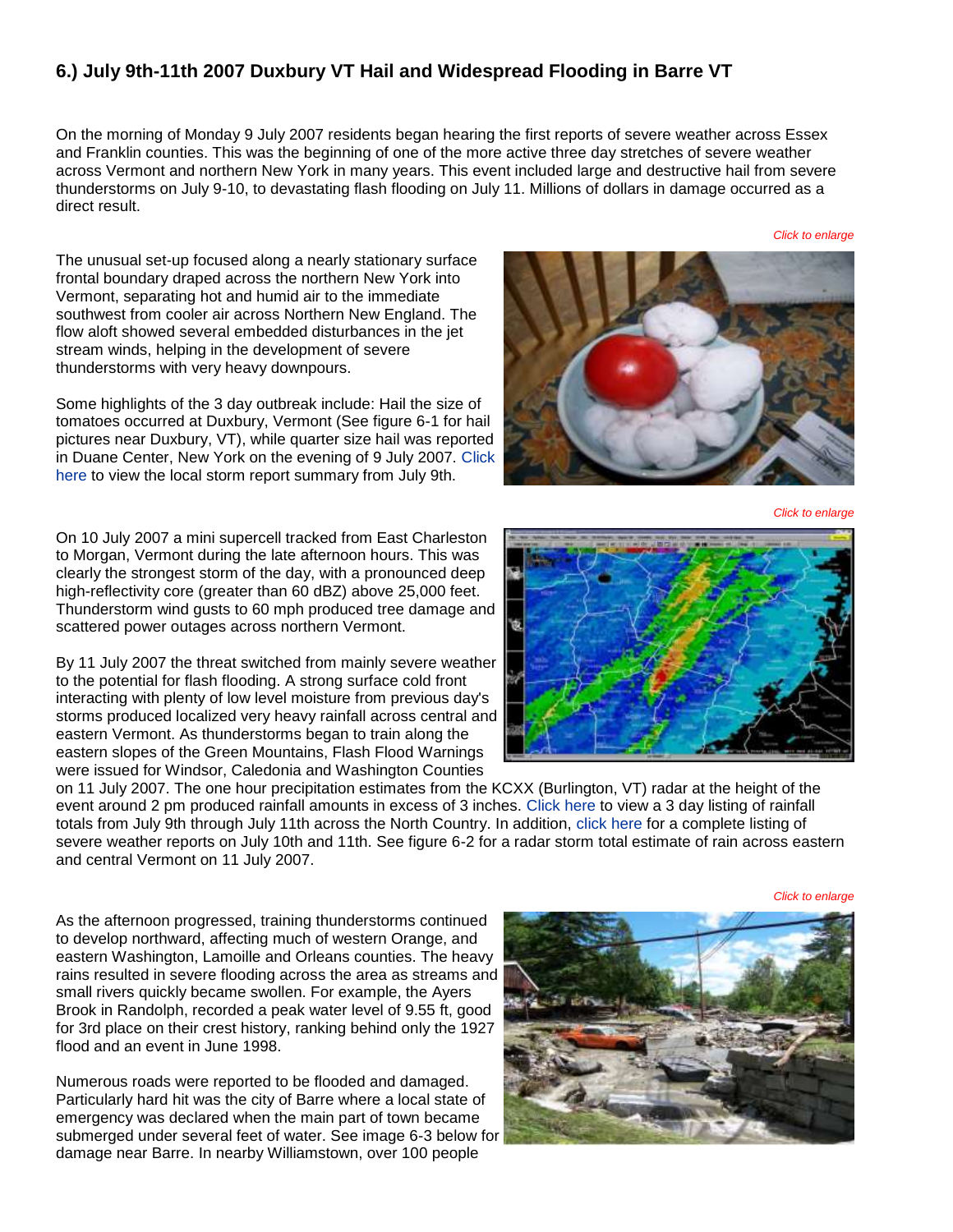#### **6.) July 9th-11th 2007 Duxbury VT Hail and Widespread Flooding in Barre VT**

On the morning of Monday 9 July 2007 residents began hearing the first reports of severe weather across Essex and Franklin counties. This was the beginning of one of the more active three day stretches of severe weather across Vermont and northern New York in many years. This event included large and destructive hail from severe thunderstorms on July 9-10, to devastating flash flooding on July 11. Millions of dollars in damage occurred as a direct result.

*Click to enlarge*

The unusual set-up focused along a nearly stationary surface frontal boundary draped across the northern New York into Vermont, separating hot and humid air to the immediate southwest from cooler air across Northern New England. The flow aloft showed several embedded disturbances in the jet stream winds, helping in the development of severe thunderstorms with very heavy downpours.

Some highlights of the 3 day outbreak include: Hail the size of tomatoes occurred at Duxbury, Vermont (See figure 6-1 for hail pictures near Duxbury, VT), while quarter size hail was reported in Duane Center, New York on the evening of 9 July 2007. [Click](http://www.weather.gov/media/btv/events/TopTen2000/LSR071007.pdf)  [here](http://www.weather.gov/media/btv/events/TopTen2000/LSR071007.pdf) to view the local storm report summary from July 9th.

On 10 July 2007 a mini supercell tracked from East Charleston to Morgan, Vermont during the late afternoon hours. This was clearly the strongest storm of the day, with a pronounced deep high-reflectivity core (greater than 60 dBZ) above 25,000 feet. Thunderstorm wind gusts to 60 mph produced tree damage and scattered power outages across northern Vermont.

By 11 July 2007 the threat switched from mainly severe weather to the potential for flash flooding. A strong surface cold front interacting with plenty of low level moisture from previous day's storms produced localized very heavy rainfall across central and eastern Vermont. As thunderstorms began to train along the eastern slopes of the Green Mountains, Flash Flood Warnings were issued for Windsor, Caledonia and Washington Counties



*Click to enlarge*



on 11 July 2007. The one hour precipitation estimates from the KCXX (Burlington, VT) radar at the height of the event around 2 pm produced rainfall amounts in excess of 3 inches. [Click here](http://www.weather.gov/media/btv/events/TopTen2000/PNS071207.pdf) to view a 3 day listing of rainfall totals from July 9th through July 11th across the North Country. In addition, [click here](http://www.weather.gov/media/btv/events/TopTen2000/LSR071107.pdf) for a complete listing of severe weather reports on July 10th and 11th. See figure 6-2 for a radar storm total estimate of rain across eastern and central Vermont on 11 July 2007.

As the afternoon progressed, training thunderstorms continued to develop northward, affecting much of western Orange, and eastern Washington, Lamoille and Orleans counties. The heavy rains resulted in severe flooding across the area as streams and small rivers quickly became swollen. For example, the Ayers Brook in Randolph, recorded a peak water level of 9.55 ft, good for 3rd place on their crest history, ranking behind only the 1927 flood and an event in June 1998.

Numerous roads were reported to be flooded and damaged. Particularly hard hit was the city of Barre where a local state of emergency was declared when the main part of town became submerged under several feet of water. See image 6-3 below for damage near Barre. In nearby Williamstown, over 100 people



*Click to enlarge*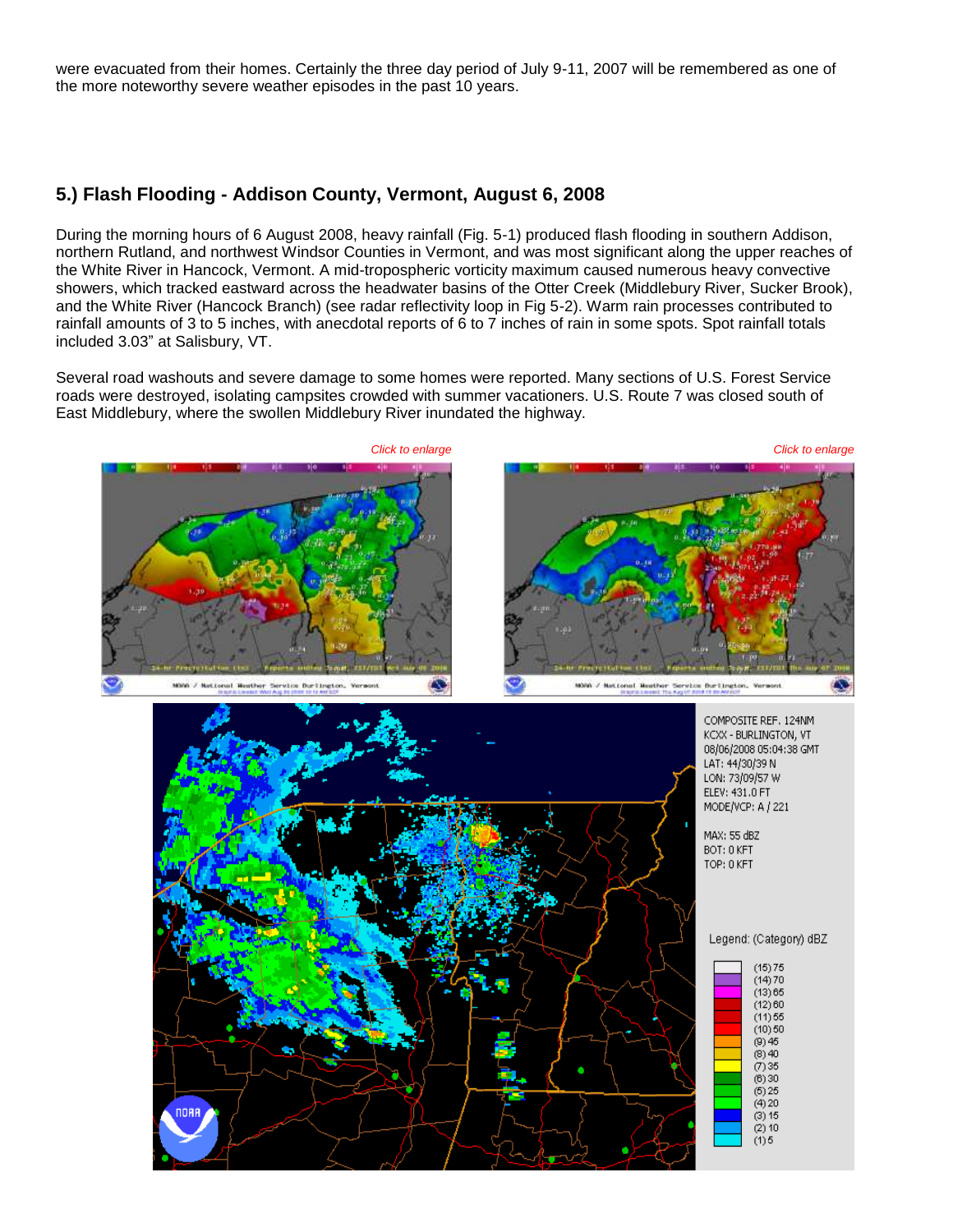were evacuated from their homes. Certainly the three day period of July 9-11, 2007 will be remembered as one of the more noteworthy severe weather episodes in the past 10 years.

#### **5.) Flash Flooding - Addison County, Vermont, August 6, 2008**

During the morning hours of 6 August 2008, heavy rainfall (Fig. 5-1) produced flash flooding in southern Addison, northern Rutland, and northwest Windsor Counties in Vermont, and was most significant along the upper reaches of the White River in Hancock, Vermont. A mid-tropospheric vorticity maximum caused numerous heavy convective showers, which tracked eastward across the headwater basins of the Otter Creek (Middlebury River, Sucker Brook), and the White River (Hancock Branch) (see radar reflectivity loop in Fig 5-2). Warm rain processes contributed to rainfall amounts of 3 to 5 inches, with anecdotal reports of 6 to 7 inches of rain in some spots. Spot rainfall totals included 3.03" at Salisbury, VT.

Several road washouts and severe damage to some homes were reported. Many sections of U.S. Forest Service roads were destroyed, isolating campsites crowded with summer vacationers. U.S. Route 7 was closed south of East Middlebury, where the swollen Middlebury River inundated the highway.

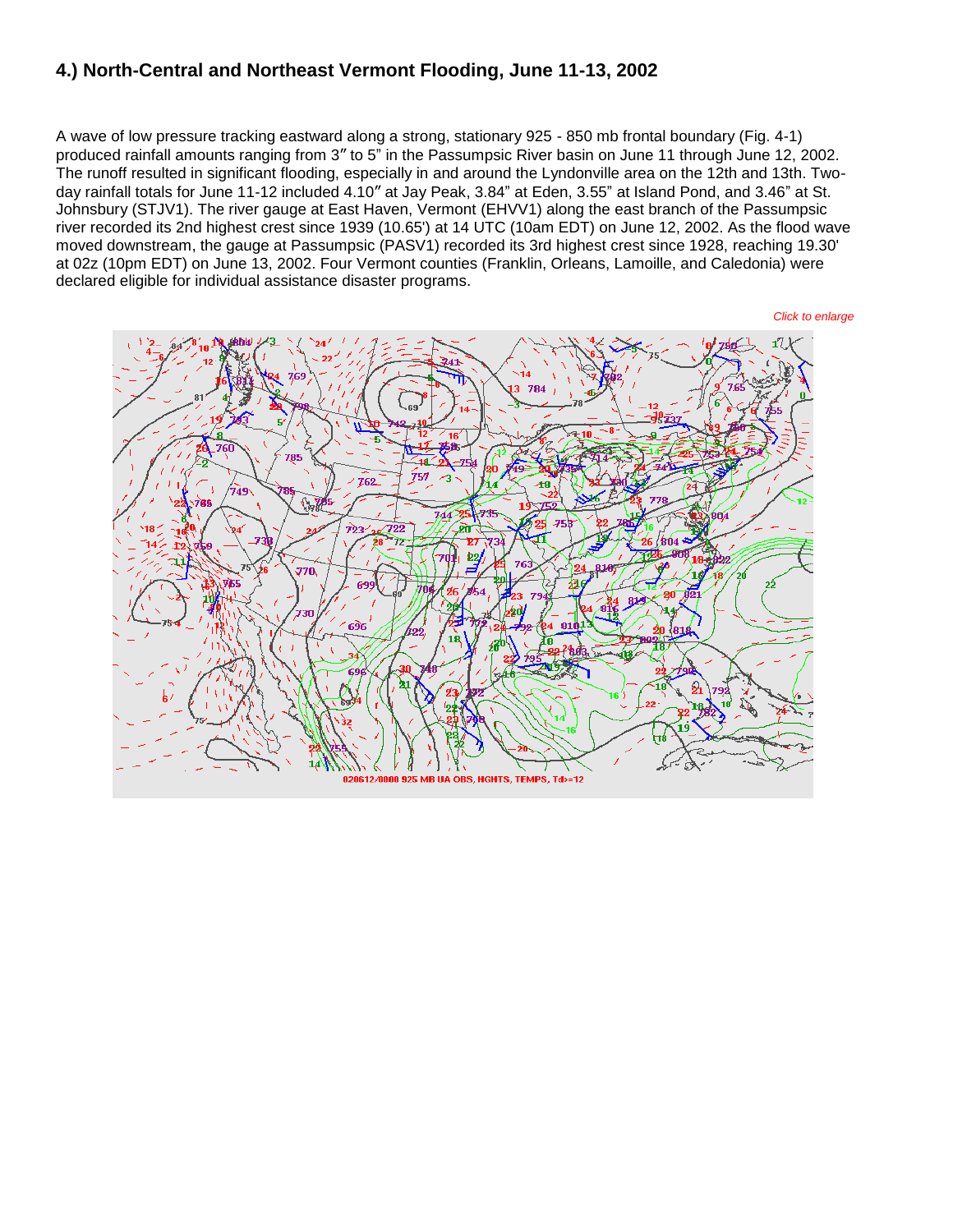#### **4.) North-Central and Northeast Vermont Flooding, June 11-13, 2002**

A wave of low pressure tracking eastward along a strong, stationary 925 - 850 mb frontal boundary (Fig. 4-1) produced rainfall amounts ranging from 3" to 5" in the Passumpsic River basin on June 11 through June 12, 2002. The runoff resulted in significant flooding, especially in and around the Lyndonville area on the 12th and 13th. Twoday rainfall totals for June 11-12 included 4.10" at Jay Peak, 3.84" at Eden, 3.55" at Island Pond, and 3.46" at St. Johnsbury (STJV1). The river gauge at East Haven, Vermont (EHVV1) along the east branch of the Passumpsic river recorded its 2nd highest crest since 1939 (10.65') at 14 UTC (10am EDT) on June 12, 2002. As the flood wave moved downstream, the gauge at Passumpsic (PASV1) recorded its 3rd highest crest since 1928, reaching 19.30' at 02z (10pm EDT) on June 13, 2002. Four Vermont counties (Franklin, Orleans, Lamoille, and Caledonia) were declared eligible for individual assistance disaster programs.

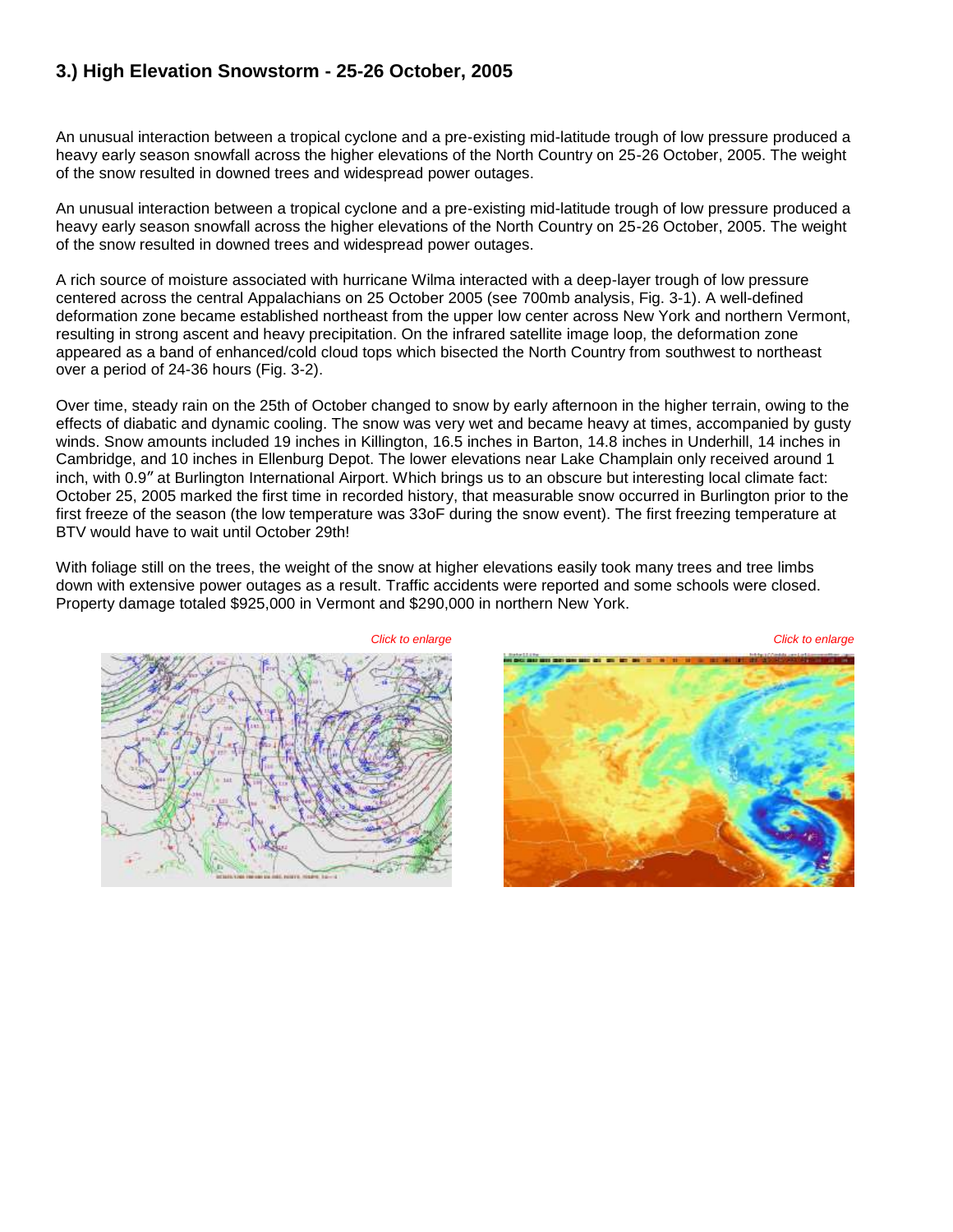#### **3.) High Elevation Snowstorm - 25-26 October, 2005**

An unusual interaction between a tropical cyclone and a pre-existing mid-latitude trough of low pressure produced a heavy early season snowfall across the higher elevations of the North Country on 25-26 October, 2005. The weight of the snow resulted in downed trees and widespread power outages.

An unusual interaction between a tropical cyclone and a pre-existing mid-latitude trough of low pressure produced a heavy early season snowfall across the higher elevations of the North Country on 25-26 October, 2005. The weight of the snow resulted in downed trees and widespread power outages.

A rich source of moisture associated with hurricane Wilma interacted with a deep-layer trough of low pressure centered across the central Appalachians on 25 October 2005 (see 700mb analysis, Fig. 3-1). A well-defined deformation zone became established northeast from the upper low center across New York and northern Vermont, resulting in strong ascent and heavy precipitation. On the infrared satellite image loop, the deformation zone appeared as a band of enhanced/cold cloud tops which bisected the North Country from southwest to northeast over a period of 24-36 hours (Fig. 3-2).

Over time, steady rain on the 25th of October changed to snow by early afternoon in the higher terrain, owing to the effects of diabatic and dynamic cooling. The snow was very wet and became heavy at times, accompanied by gusty winds. Snow amounts included 19 inches in Killington, 16.5 inches in Barton, 14.8 inches in Underhill, 14 inches in Cambridge, and 10 inches in Ellenburg Depot. The lower elevations near Lake Champlain only received around 1 inch, with 0.9" at Burlington International Airport. Which brings us to an obscure but interesting local climate fact: October 25, 2005 marked the first time in recorded history, that measurable snow occurred in Burlington prior to the first freeze of the season (the low temperature was 33oF during the snow event). The first freezing temperature at BTV would have to wait until October 29th!

With foliage still on the trees, the weight of the snow at higher elevations easily took many trees and tree limbs down with extensive power outages as a result. Traffic accidents were reported and some schools were closed. Property damage totaled \$925,000 in Vermont and \$290,000 in northern New York.



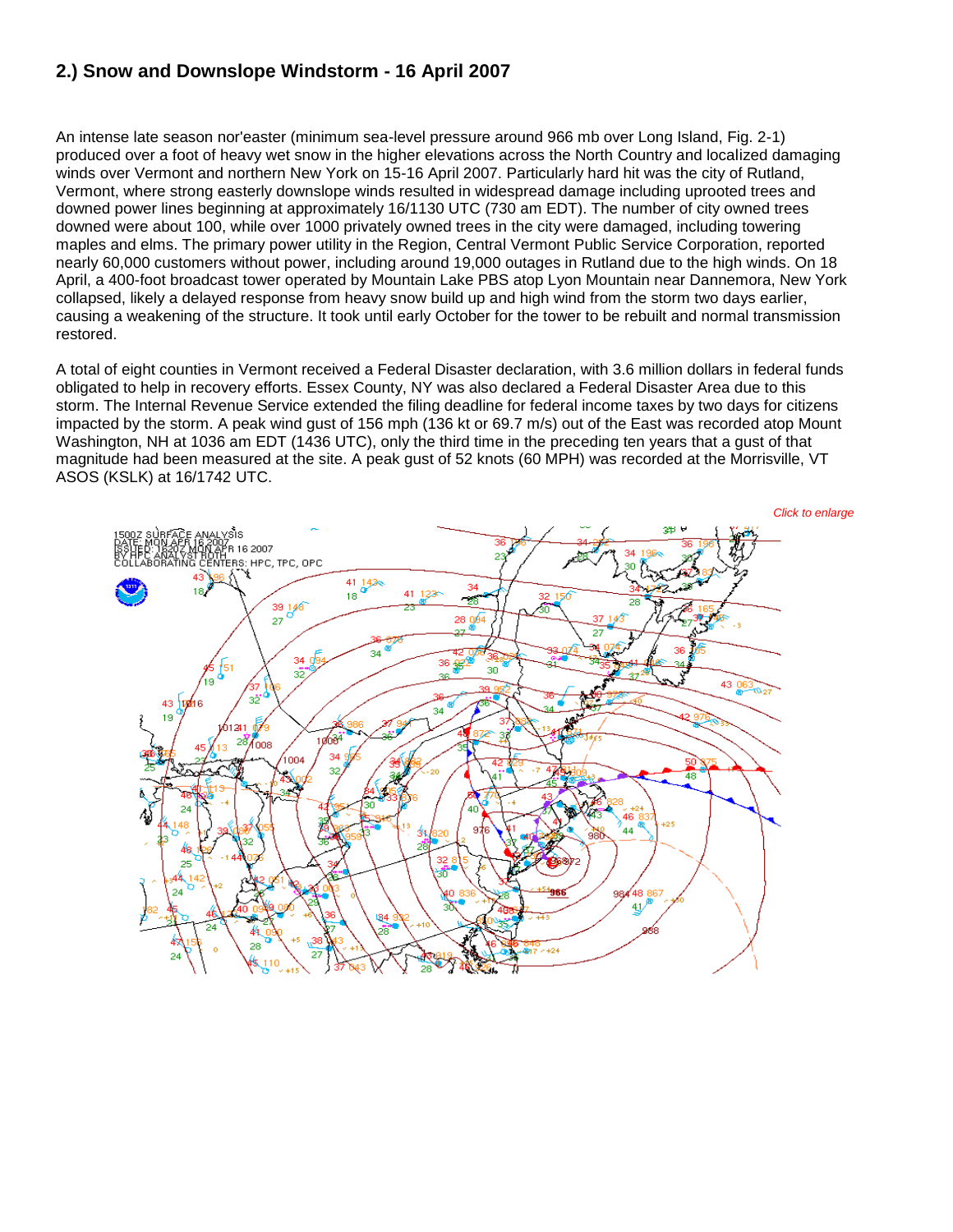### **2.) Snow and Downslope Windstorm - 16 April 2007**

An intense late season nor'easter (minimum sea-level pressure around 966 mb over Long Island, Fig. 2-1) produced over a foot of heavy wet snow in the higher elevations across the North Country and localized damaging winds over Vermont and northern New York on 15-16 April 2007. Particularly hard hit was the city of Rutland, Vermont, where strong easterly downslope winds resulted in widespread damage including uprooted trees and downed power lines beginning at approximately 16/1130 UTC (730 am EDT). The number of city owned trees downed were about 100, while over 1000 privately owned trees in the city were damaged, including towering maples and elms. The primary power utility in the Region, Central Vermont Public Service Corporation, reported nearly 60,000 customers without power, including around 19,000 outages in Rutland due to the high winds. On 18 April, a 400-foot broadcast tower operated by Mountain Lake PBS atop Lyon Mountain near Dannemora, New York collapsed, likely a delayed response from heavy snow build up and high wind from the storm two days earlier, causing a weakening of the structure. It took until early October for the tower to be rebuilt and normal transmission restored.

A total of eight counties in Vermont received a Federal Disaster declaration, with 3.6 million dollars in federal funds obligated to help in recovery efforts. Essex County, NY was also declared a Federal Disaster Area due to this storm. The Internal Revenue Service extended the filing deadline for federal income taxes by two days for citizens impacted by the storm. A peak wind gust of 156 mph (136 kt or 69.7 m/s) out of the East was recorded atop Mount Washington, NH at 1036 am EDT (1436 UTC), only the third time in the preceding ten years that a gust of that magnitude had been measured at the site. A peak gust of 52 knots (60 MPH) was recorded at the Morrisville, VT ASOS (KSLK) at 16/1742 UTC.

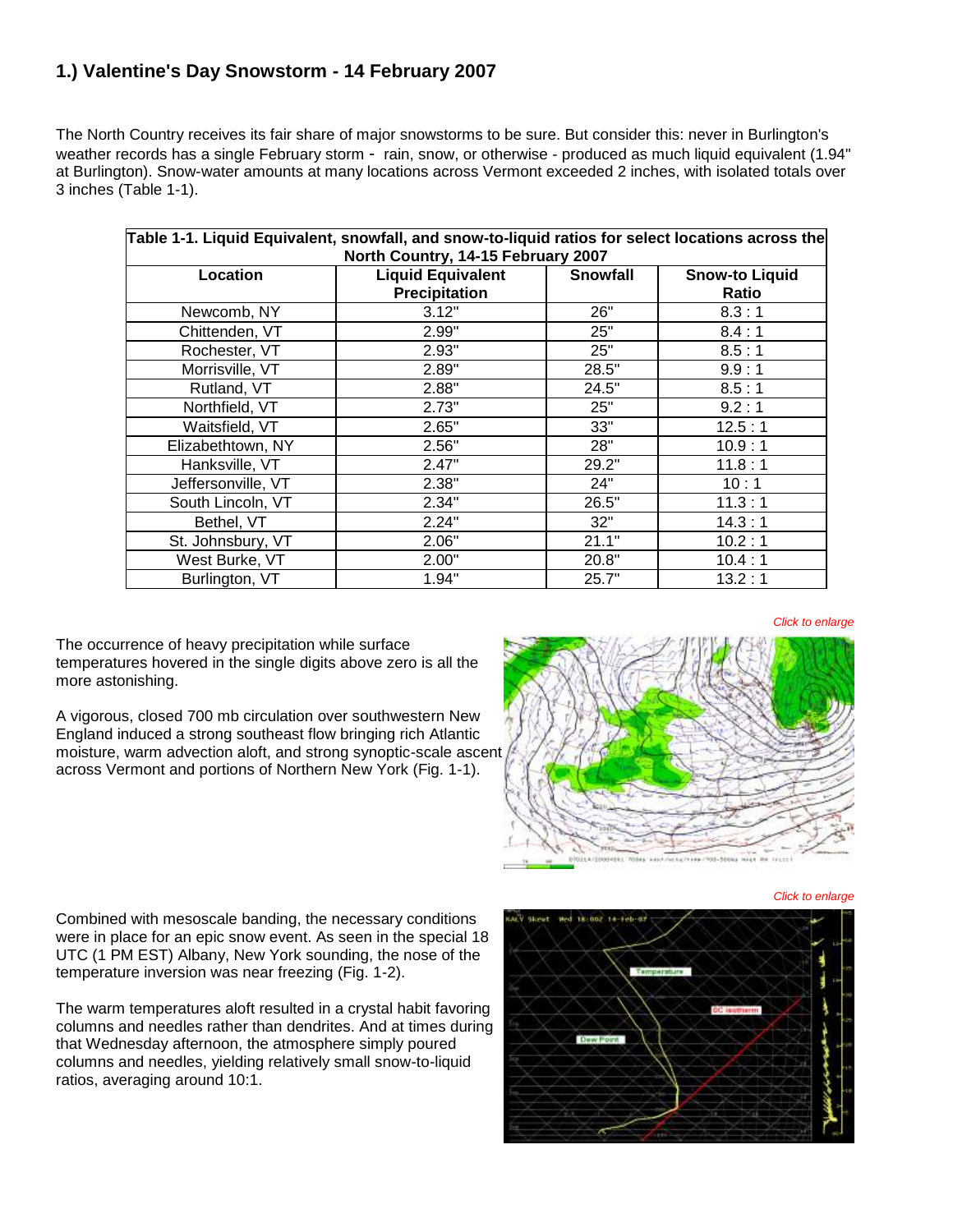### **1.) Valentine's Day Snowstorm - 14 February 2007**

The North Country receives its fair share of major snowstorms to be sure. But consider this: never in Burlington's weather records has a single February storm - rain, snow, or otherwise - produced as much liquid equivalent (1.94" at Burlington). Snow-water amounts at many locations across Vermont exceeded 2 inches, with isolated totals over 3 inches (Table 1-1).

| Table 1-1. Liquid Equivalent, snowfall, and snow-to-liquid ratios for select locations across the<br>North Country, 14-15 February 2007 |                                                  |                 |                                |
|-----------------------------------------------------------------------------------------------------------------------------------------|--------------------------------------------------|-----------------|--------------------------------|
| Location                                                                                                                                | <b>Liquid Equivalent</b><br><b>Precipitation</b> | <b>Snowfall</b> | <b>Snow-to Liquid</b><br>Ratio |
| Newcomb, NY                                                                                                                             | 3.12"                                            | 26"             | 8.3:1                          |
| Chittenden, VT                                                                                                                          | 2.99"                                            | 25"             | 8.4:1                          |
| Rochester, VT                                                                                                                           | 2.93"                                            | 25"             | 8.5:1                          |
| Morrisville, VT                                                                                                                         | 2.89"                                            | 28.5"           | 9.9:1                          |
| Rutland, VT                                                                                                                             | 2.88"                                            | 24.5"           | 8.5:1                          |
| Northfield, VT                                                                                                                          | 2.73"                                            | 25"             | 9.2:1                          |
| Waitsfield, VT                                                                                                                          | 2.65"                                            | 33"             | 12.5:1                         |
| Elizabethtown, NY                                                                                                                       | 2.56"                                            | 28"             | 10.9:1                         |
| Hanksville, VT                                                                                                                          | 2.47"                                            | 29.2"           | 11.8:1                         |
| Jeffersonville, VT                                                                                                                      | 2.38"                                            | 24"             | 10:1                           |
| South Lincoln, VT                                                                                                                       | 2.34"                                            | 26.5"           | 11.3:1                         |
| Bethel, VT                                                                                                                              | 2.24"                                            | 32"             | 14.3:1                         |
| St. Johnsbury, VT                                                                                                                       | 2.06"                                            | 21.1"           | 10.2:1                         |
| West Burke, VT                                                                                                                          | 2.00"                                            | 20.8"           | 10.4:1                         |
| Burlington, VT                                                                                                                          | 1.94"                                            | 25.7"           | 13.2:1                         |

*Click to enlarge*

The occurrence of heavy precipitation while surface temperatures hovered in the single digits above zero is all the more astonishing.

A vigorous, closed 700 mb circulation over southwestern New England induced a strong southeast flow bringing rich Atlantic moisture, warm advection aloft, and strong synoptic-scale ascent across Vermont and portions of Northern New York (Fig. 1-1).



Combined with mesoscale banding, the necessary conditions were in place for an epic snow event. As seen in the special 18 UTC (1 PM EST) Albany, New York sounding, the nose of the temperature inversion was near freezing (Fig. 1-2).

The warm temperatures aloft resulted in a crystal habit favoring columns and needles rather than dendrites. And at times during that Wednesday afternoon, the atmosphere simply poured columns and needles, yielding relatively small snow-to-liquid ratios, averaging around 10:1.